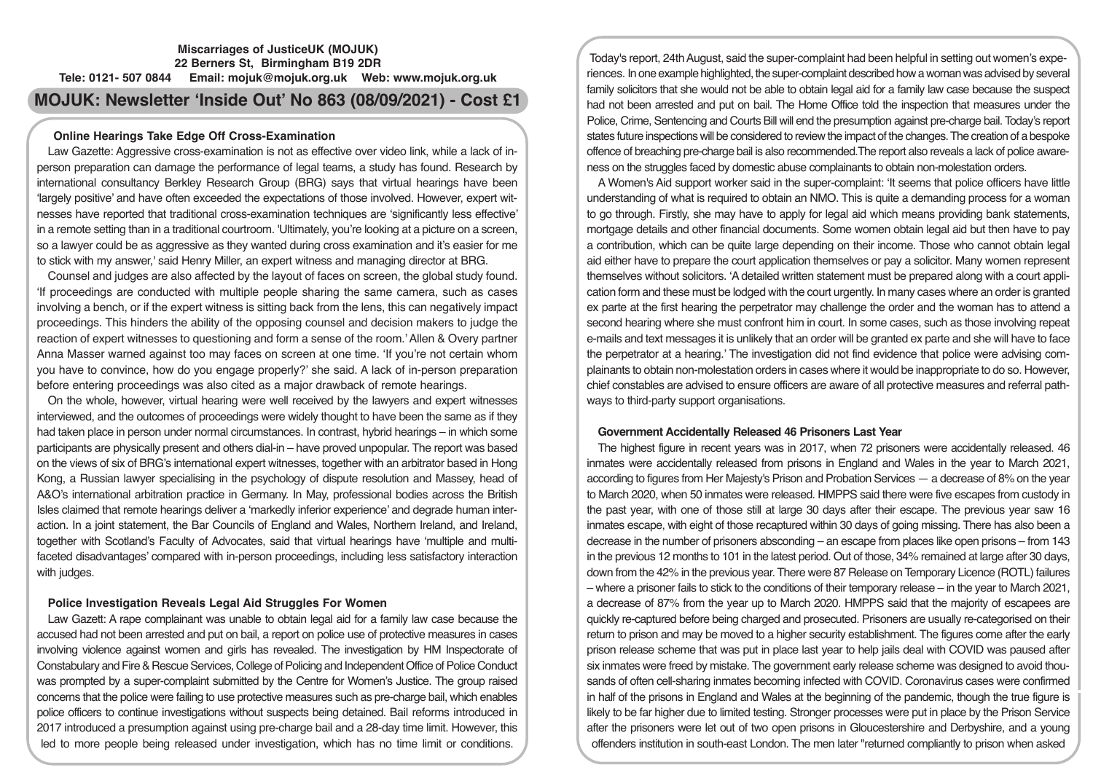## **Miscarriages of JusticeUK (MOJUK) 22 Berners St, Birmingham B19 2DR Tele: 0121- 507 0844 Email: mojuk@mojuk.org.uk Web: www.mojuk.org.uk**

# **MOJUK: Newsletter 'Inside Out' No 863 (08/09/2021) - Cost £1**

### **Online Hearings Take Edge Off Cross-Examination**

Law Gazette: Aggressive cross-examination is not as effective over video link, while a lack of inperson preparation can damage the performance of legal teams, a study has found. Research by international consultancy Berkley Research Group (BRG) says that virtual hearings have been 'largely positive' and have often exceeded the expectations of those involved. However, expert witnesses have reported that traditional cross-examination techniques are 'significantly less effective' in a remote setting than in a traditional courtroom. 'Ultimately, you're looking at a picture on a screen, so a lawyer could be as aggressive as they wanted during cross examination and it's easier for me to stick with my answer,' said Henry Miller, an expert witness and managing director at BRG.

Counsel and judges are also affected by the layout of faces on screen, the global study found. 'If proceedings are conducted with multiple people sharing the same camera, such as cases involving a bench, or if the expert witness is sitting back from the lens, this can negatively impact proceedings. This hinders the ability of the opposing counsel and decision makers to judge the reaction of expert witnesses to questioning and form a sense of the room.' Allen & Overy partner Anna Masser warned against too may faces on screen at one time. 'If you're not certain whom you have to convince, how do you engage properly?' she said. A lack of in-person preparation before entering proceedings was also cited as a major drawback of remote hearings.

On the whole, however, virtual hearing were well received by the lawyers and expert witnesses interviewed, and the outcomes of proceedings were widely thought to have been the same as if they had taken place in person under normal circumstances. In contrast, hybrid hearings – in which some participants are physically present and others dial-in – have proved unpopular. The report was based on the views of six of BRG's international expert witnesses, together with an arbitrator based in Hong Kong, a Russian lawyer specialising in the psychology of dispute resolution and Massey, head of A&O's international arbitration practice in Germany. In May, professional bodies across the British Isles claimed that remote hearings deliver a 'markedly inferior experience' and degrade human interaction. In a joint statement, the Bar Councils of England and Wales, Northern Ireland, and Ireland, together with Scotland's Faculty of Advocates, said that virtual hearings have 'multiple and multifaceted disadvantages' compared with in-person proceedings, including less satisfactory interaction with judges.

## **Police Investigation Reveals Legal Aid Struggles For Women**

Law Gazett: A rape complainant was unable to obtain legal aid for a family law case because the accused had not been arrested and put on bail, a report on police use of protective measures in cases involving violence against women and girls has revealed. The investigation by HM Inspectorate of Constabulary and Fire & Rescue Services, College of Policing and Independent Office of Police Conduct was prompted by a super-complaint submitted by the Centre for Women's Justice. The group raised concerns that the police were failing to use protective measures such as pre-charge bail, which enables police officers to continue investigations without suspects being detained. Bail reforms introduced in 2017 introduced a presumption against using pre-charge bail and a 28-day time limit. However, this led to more people being released under investigation, which has no time limit or conditions.

Today's report, 24th August, said the super-complaint had been helpful in setting out women's experiences. In one example highlighted, the super-complaint described how a woman was advised by several family solicitors that she would not be able to obtain legal aid for a family law case because the suspect had not been arrested and put on bail. The Home Office told the inspection that measures under the Police, Crime, Sentencing and Courts Bill will end the presumption against pre-charge bail. Today's report states future inspections will be considered to review the impact of the changes. The creation of a bespoke offence of breaching pre-charge bail is also recommended.The report also reveals a lack of police awareness on the struggles faced by domestic abuse complainants to obtain non-molestation orders.

A Women's Aid support worker said in the super-complaint: 'It seems that police officers have little understanding of what is required to obtain an NMO. This is quite a demanding process for a woman to go through. Firstly, she may have to apply for legal aid which means providing bank statements, mortgage details and other financial documents. Some women obtain legal aid but then have to pay a contribution, which can be quite large depending on their income. Those who cannot obtain legal aid either have to prepare the court application themselves or pay a solicitor. Many women represent themselves without solicitors. 'A detailed written statement must be prepared along with a court application form and these must be lodged with the court urgently. In many cases where an order is granted ex parte at the first hearing the perpetrator may challenge the order and the woman has to attend a second hearing where she must confront him in court. In some cases, such as those involving repeat e-mails and text messages it is unlikely that an order will be granted ex parte and she will have to face the perpetrator at a hearing.' The investigation did not find evidence that police were advising complainants to obtain non-molestation orders in cases where it would be inappropriate to do so. However, chief constables are advised to ensure officers are aware of all protective measures and referral pathways to third-party support organisations.

## **Government Accidentally Released 46 Prisoners Last Year**

The highest figure in recent years was in 2017, when 72 prisoners were accidentally released. 46 inmates were accidentally released from prisons in England and Wales in the year to March 2021, according to figures from Her Majesty's Prison and Probation Services — a decrease of 8% on the year to March 2020, when 50 inmates were released. HMPPS said there were five escapes from custody in the past year, with one of those still at large 30 days after their escape. The previous year saw 16 inmates escape, with eight of those recaptured within 30 days of going missing. There has also been a decrease in the number of prisoners absconding – an escape from places like open prisons – from 143 in the previous 12 months to 101 in the latest period. Out of those, 34% remained at large after 30 days, down from the 42% in the previous year. There were 87 Release on Temporary Licence (ROTL) failures – where a prisoner fails to stick to the conditions of their temporary release – in the year to March 2021, a decrease of 87% from the year up to March 2020. HMPPS said that the majority of escapees are quickly re-captured before being charged and prosecuted. Prisoners are usually re-categorised on their return to prison and may be moved to a higher security establishment. The figures come after the early prison release scheme that was put in place last year to help jails deal with COVID was paused after six inmates were freed by mistake. The government early release scheme was designed to avoid thousands of often cell-sharing inmates becoming infected with COVID. Coronavirus cases were confirmed in half of the prisons in England and Wales at the beginning of the pandemic, though the true figure is likely to be far higher due to limited testing. Stronger processes were put in place by the Prison Service after the prisoners were let out of two open prisons in Gloucestershire and Derbyshire, and a young offenders institution in south-east London. The men later "returned compliantly to prison when asked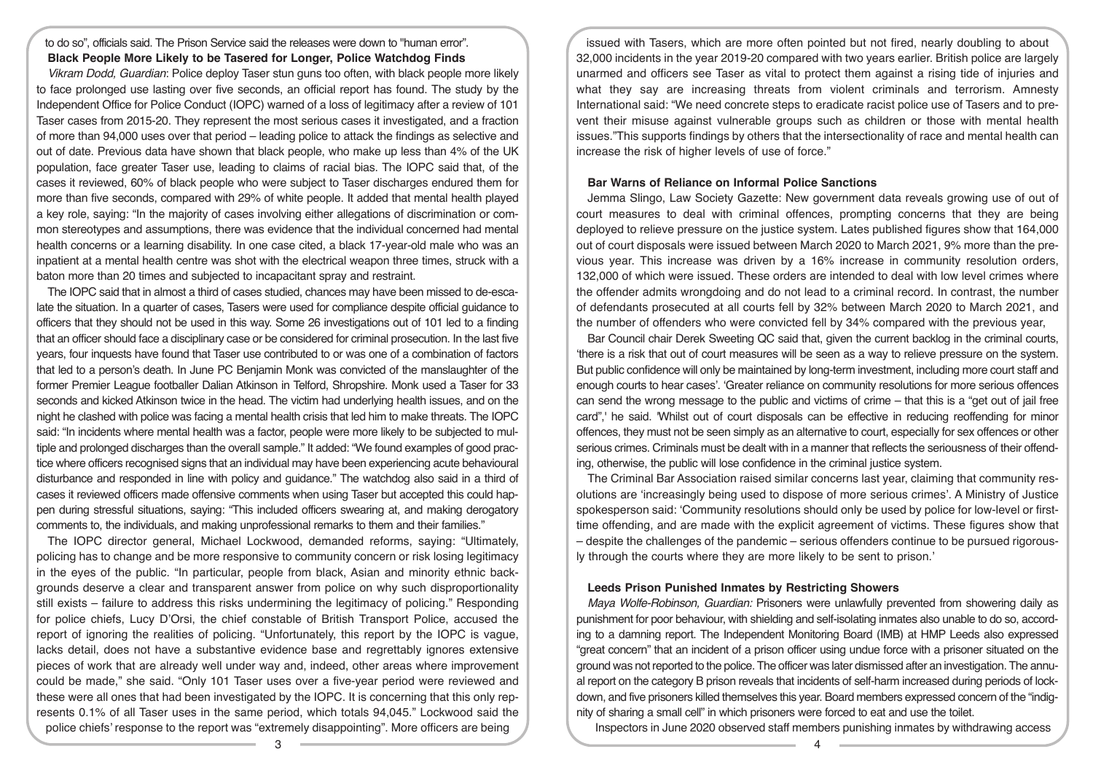#### to do so", officials said. The Prison Service said the releases were down to "human error". **Black People More Likely to be Tasered for Longer, Police Watchdog Finds**

*Vikram Dodd, Guardian*: Police deploy Taser stun guns too often, with black people more likely to face prolonged use lasting over five seconds, an official report has found. The study by the Independent Office for Police Conduct (IOPC) warned of a loss of legitimacy after a review of 101 Taser cases from 2015-20. They represent the most serious cases it investigated, and a fraction of more than 94,000 uses over that period – leading police to attack the findings as selective and out of date. Previous data have shown that black people, who make up less than 4% of the UK population, face greater Taser use, leading to claims of racial bias. The IOPC said that, of the cases it reviewed, 60% of black people who were subject to Taser discharges endured them for more than five seconds, compared with 29% of white people. It added that mental health played a key role, saying: "In the majority of cases involving either allegations of discrimination or common stereotypes and assumptions, there was evidence that the individual concerned had mental health concerns or a learning disability. In one case cited, a black 17-year-old male who was an inpatient at a mental health centre was shot with the electrical weapon three times, struck with a baton more than 20 times and subjected to incapacitant spray and restraint.

The IOPC said that in almost a third of cases studied, chances may have been missed to de-escalate the situation. In a quarter of cases, Tasers were used for compliance despite official guidance to officers that they should not be used in this way. Some 26 investigations out of 101 led to a finding that an officer should face a disciplinary case or be considered for criminal prosecution. In the last five years, four inquests have found that Taser use contributed to or was one of a combination of factors that led to a person's death. In June PC Benjamin Monk was convicted of the manslaughter of the former Premier League footballer Dalian Atkinson in Telford, Shropshire. Monk used a Taser for 33 seconds and kicked Atkinson twice in the head. The victim had underlying health issues, and on the night he clashed with police was facing a mental health crisis that led him to make threats. The IOPC said: "In incidents where mental health was a factor, people were more likely to be subjected to multiple and prolonged discharges than the overall sample." It added: "We found examples of good practice where officers recognised signs that an individual may have been experiencing acute behavioural disturbance and responded in line with policy and guidance." The watchdog also said in a third of cases it reviewed officers made offensive comments when using Taser but accepted this could happen during stressful situations, saying: "This included officers swearing at, and making derogatory comments to, the individuals, and making unprofessional remarks to them and their families."

The IOPC director general, Michael Lockwood, demanded reforms, saying: "Ultimately, policing has to change and be more responsive to community concern or risk losing legitimacy in the eyes of the public. "In particular, people from black, Asian and minority ethnic backgrounds deserve a clear and transparent answer from police on why such disproportionality still exists – failure to address this risks undermining the legitimacy of policing." Responding for police chiefs, Lucy D'Orsi, the chief constable of British Transport Police, accused the report of ignoring the realities of policing. "Unfortunately, this report by the IOPC is vague, lacks detail, does not have a substantive evidence base and regrettably ignores extensive pieces of work that are already well under way and, indeed, other areas where improvement could be made," she said. "Only 101 Taser uses over a five-year period were reviewed and these were all ones that had been investigated by the IOPC. It is concerning that this only represents 0.1% of all Taser uses in the same period, which totals 94,045." Lockwood said the police chiefs' response to the report was "extremely disappointing". More officers are being

issued with Tasers, which are more often pointed but not fired, nearly doubling to about 32,000 incidents in the year 2019-20 compared with two years earlier. British police are largely unarmed and officers see Taser as vital to protect them against a rising tide of injuries and what they say are increasing threats from violent criminals and terrorism. Amnesty International said: "We need concrete steps to eradicate racist police use of Tasers and to prevent their misuse against vulnerable groups such as children or those with mental health issues."This supports findings by others that the intersectionality of race and mental health can increase the risk of higher levels of use of force."

#### **Bar Warns of Reliance on Informal Police Sanctions**

Jemma Slingo, Law Society Gazette: New government data reveals growing use of out of court measures to deal with criminal offences, prompting concerns that they are being deployed to relieve pressure on the justice system. Lates published figures show that 164,000 out of court disposals were issued between March 2020 to March 2021, 9% more than the previous year. This increase was driven by a 16% increase in community resolution orders, 132,000 of which were issued. These orders are intended to deal with low level crimes where the offender admits wrongdoing and do not lead to a criminal record. In contrast, the number of defendants prosecuted at all courts fell by 32% between March 2020 to March 2021, and the number of offenders who were convicted fell by 34% compared with the previous year,

Bar Council chair Derek Sweeting QC said that, given the current backlog in the criminal courts, 'there is a risk that out of court measures will be seen as a way to relieve pressure on the system. But public confidence will only be maintained by long-term investment, including more court staff and enough courts to hear cases'. 'Greater reliance on community resolutions for more serious offences can send the wrong message to the public and victims of crime – that this is a "get out of jail free card",' he said. 'Whilst out of court disposals can be effective in reducing reoffending for minor offences, they must not be seen simply as an alternative to court, especially for sex offences or other serious crimes. Criminals must be dealt with in a manner that reflects the seriousness of their offending, otherwise, the public will lose confidence in the criminal justice system.

The Criminal Bar Association raised similar concerns last year, claiming that community resolutions are 'increasingly being used to dispose of more serious crimes'. A Ministry of Justice spokesperson said: 'Community resolutions should only be used by police for low-level or firsttime offending, and are made with the explicit agreement of victims. These figures show that – despite the challenges of the pandemic – serious offenders continue to be pursued rigorously through the courts where they are more likely to be sent to prison.'

#### **Leeds Prison Punished Inmates by Restricting Showers**

*Maya Wolfe-Robinson, Guardian:* Prisoners were unlawfully prevented from showering daily as punishment for poor behaviour, with shielding and self-isolating inmates also unable to do so, according to a damning report. The Independent Monitoring Board (IMB) at HMP Leeds also expressed "great concern" that an incident of a prison officer using undue force with a prisoner situated on the ground was not reported to the police. The officer was later dismissed after an investigation. The annual report on the category B prison reveals that incidents of self-harm increased during periods of lockdown, and five prisoners killed themselves this year. Board members expressed concern of the "indignity of sharing a small cell" in which prisoners were forced to eat and use the toilet.

Inspectors in June 2020 observed staff members punishing inmates by withdrawing access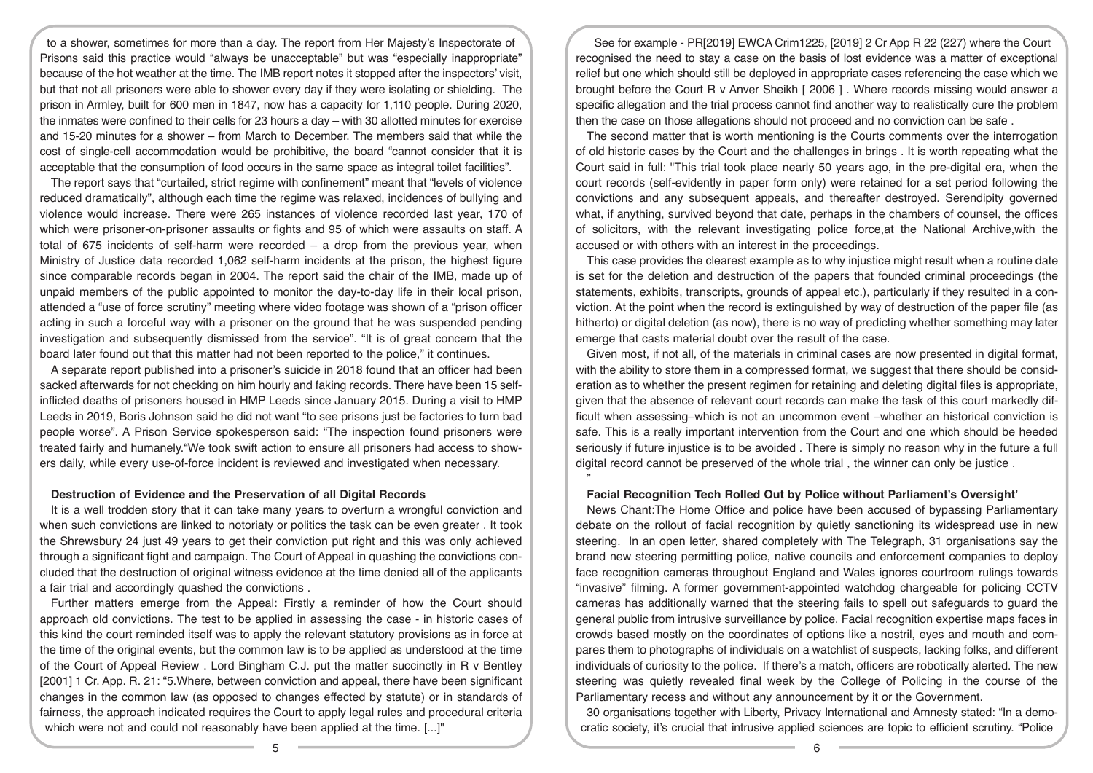to a shower, sometimes for more than a day. The report from Her Majesty's Inspectorate of Prisons said this practice would "always be unacceptable" but was "especially inappropriate" because of the hot weather at the time. The IMB report notes it stopped after the inspectors' visit, but that not all prisoners were able to shower every day if they were isolating or shielding. The prison in Armley, built for 600 men in 1847, now has a capacity for 1,110 people. During 2020, the inmates were confined to their cells for 23 hours a day – with 30 allotted minutes for exercise and 15-20 minutes for a shower – from March to December. The members said that while the cost of single-cell accommodation would be prohibitive, the board "cannot consider that it is acceptable that the consumption of food occurs in the same space as integral toilet facilities".

The report says that "curtailed, strict regime with confinement" meant that "levels of violence reduced dramatically", although each time the regime was relaxed, incidences of bullying and violence would increase. There were 265 instances of violence recorded last year, 170 of which were prisoner-on-prisoner assaults or fights and 95 of which were assaults on staff. A total of 675 incidents of self-harm were recorded – a drop from the previous year, when Ministry of Justice data recorded 1,062 self-harm incidents at the prison, the highest figure since comparable records began in 2004. The report said the chair of the IMB, made up of unpaid members of the public appointed to monitor the day-to-day life in their local prison, attended a "use of force scrutiny" meeting where video footage was shown of a "prison officer acting in such a forceful way with a prisoner on the ground that he was suspended pending investigation and subsequently dismissed from the service". "It is of great concern that the board later found out that this matter had not been reported to the police," it continues.

A separate report published into a prisoner's suicide in 2018 found that an officer had been sacked afterwards for not checking on him hourly and faking records. There have been 15 selfinflicted deaths of prisoners housed in HMP Leeds since January 2015. During a visit to HMP Leeds in 2019, Boris Johnson said he did not want "to see prisons just be factories to turn bad people worse". A Prison Service spokesperson said: "The inspection found prisoners were treated fairly and humanely."We took swift action to ensure all prisoners had access to showers daily, while every use-of-force incident is reviewed and investigated when necessary.

#### **Destruction of Evidence and the Preservation of all Digital Records**

It is a well trodden story that it can take many years to overturn a wrongful conviction and when such convictions are linked to notoriaty or politics the task can be even greater . It took the Shrewsbury 24 just 49 years to get their conviction put right and this was only achieved through a significant fight and campaign. The Court of Appeal in quashing the convictions concluded that the destruction of original witness evidence at the time denied all of the applicants a fair trial and accordingly quashed the convictions .

Further matters emerge from the Appeal: Firstly a reminder of how the Court should approach old convictions. The test to be applied in assessing the case - in historic cases of this kind the court reminded itself was to apply the relevant statutory provisions as in force at the time of the original events, but the common law is to be applied as understood at the time of the Court of Appeal Review . Lord Bingham C.J. put the matter succinctly in R v Bentley [2001] 1 Cr. App. R. 21: "5.Where, between conviction and appeal, there have been significant changes in the common law (as opposed to changes effected by statute) or in standards of fairness, the approach indicated requires the Court to apply legal rules and procedural criteria which were not and could not reasonably have been applied at the time. [...]"

See for example - PR[2019] EWCA Crim1225, [2019] 2 Cr App R 22 (227) where the Court recognised the need to stay a case on the basis of lost evidence was a matter of exceptional relief but one which should still be deployed in appropriate cases referencing the case which we brought before the Court R v Anver Sheikh [ 2006 ] . Where records missing would answer a specific allegation and the trial process cannot find another way to realistically cure the problem then the case on those allegations should not proceed and no conviction can be safe .

The second matter that is worth mentioning is the Courts comments over the interrogation of old historic cases by the Court and the challenges in brings . It is worth repeating what the Court said in full: "This trial took place nearly 50 years ago, in the pre-digital era, when the court records (self-evidently in paper form only) were retained for a set period following the convictions and any subsequent appeals, and thereafter destroyed. Serendipity governed what, if anything, survived beyond that date, perhaps in the chambers of counsel, the offices of solicitors, with the relevant investigating police force,at the National Archive,with the accused or with others with an interest in the proceedings.

This case provides the clearest example as to why injustice might result when a routine date is set for the deletion and destruction of the papers that founded criminal proceedings (the statements, exhibits, transcripts, grounds of appeal etc.), particularly if they resulted in a conviction. At the point when the record is extinguished by way of destruction of the paper file (as hitherto) or digital deletion (as now), there is no way of predicting whether something may later emerge that casts material doubt over the result of the case.

Given most, if not all, of the materials in criminal cases are now presented in digital format, with the ability to store them in a compressed format, we suggest that there should be consideration as to whether the present regimen for retaining and deleting digital files is appropriate, given that the absence of relevant court records can make the task of this court markedly difficult when assessing–which is not an uncommon event –whether an historical conviction is safe. This is a really important intervention from the Court and one which should be heeded seriously if future injustice is to be avoided . There is simply no reason why in the future a full digital record cannot be preserved of the whole trial , the winner can only be justice .

#### **Facial Recognition Tech Rolled Out by Police without Parliament's Oversight'**

"

News Chant:The Home Office and police have been accused of bypassing Parliamentary debate on the rollout of facial recognition by quietly sanctioning its widespread use in new steering. In an open letter, shared completely with The Telegraph, 31 organisations say the brand new steering permitting police, native councils and enforcement companies to deploy face recognition cameras throughout England and Wales ignores courtroom rulings towards "invasive" filming. A former government-appointed watchdog chargeable for policing CCTV cameras has additionally warned that the steering fails to spell out safeguards to guard the general public from intrusive surveillance by police. Facial recognition expertise maps faces in crowds based mostly on the coordinates of options like a nostril, eyes and mouth and compares them to photographs of individuals on a watchlist of suspects, lacking folks, and different individuals of curiosity to the police. If there's a match, officers are robotically alerted. The new steering was quietly revealed final week by the College of Policing in the course of the Parliamentary recess and without any announcement by it or the Government.

30 organisations together with Liberty, Privacy International and Amnesty stated: "In a democratic society, it's crucial that intrusive applied sciences are topic to efficient scrutiny. "Police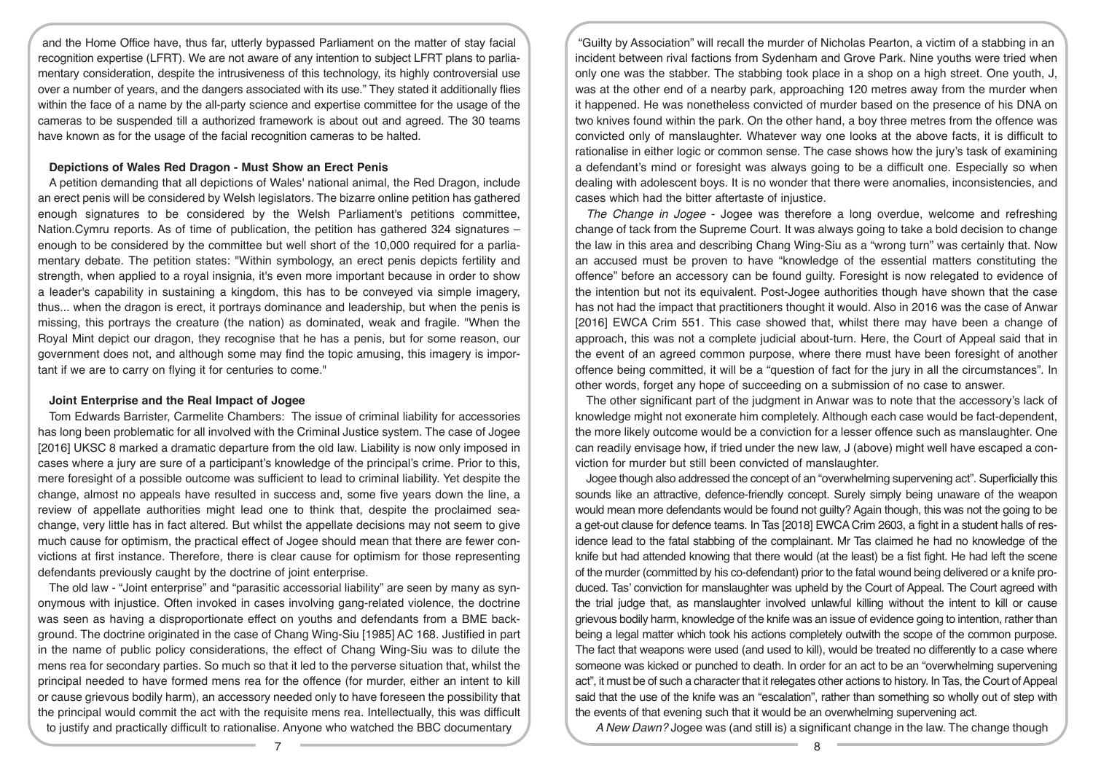and the Home Office have, thus far, utterly bypassed Parliament on the matter of stay facial recognition expertise (LFRT). We are not aware of any intention to subject LFRT plans to parliamentary consideration, despite the intrusiveness of this technology, its highly controversial use over a number of years, and the dangers associated with its use." They stated it additionally flies within the face of a name by the all-party science and expertise committee for the usage of the cameras to be suspended till a authorized framework is about out and agreed. The 30 teams have known as for the usage of the facial recognition cameras to be halted.

#### **Depictions of Wales Red Dragon - Must Show an Erect Penis**

A petition demanding that all depictions of Wales' national animal, the Red Dragon, include an erect penis will be considered by Welsh legislators. The bizarre online petition has gathered enough signatures to be considered by the Welsh Parliament's petitions committee, Nation.Cymru reports. As of time of publication, the petition has gathered 324 signatures – enough to be considered by the committee but well short of the 10,000 required for a parliamentary debate. The petition states: "Within symbology, an erect penis depicts fertility and strength, when applied to a royal insignia, it's even more important because in order to show a leader's capability in sustaining a kingdom, this has to be conveyed via simple imagery, thus... when the dragon is erect, it portrays dominance and leadership, but when the penis is missing, this portrays the creature (the nation) as dominated, weak and fragile. "When the Royal Mint depict our dragon, they recognise that he has a penis, but for some reason, our government does not, and although some may find the topic amusing, this imagery is important if we are to carry on flying it for centuries to come."

#### **Joint Enterprise and the Real Impact of Jogee**

Tom Edwards Barrister, Carmelite Chambers: The issue of criminal liability for accessories has long been problematic for all involved with the Criminal Justice system. The case of Jogee [2016] UKSC 8 marked a dramatic departure from the old law. Liability is now only imposed in cases where a jury are sure of a participant's knowledge of the principal's crime. Prior to this, mere foresight of a possible outcome was sufficient to lead to criminal liability. Yet despite the change, almost no appeals have resulted in success and, some five years down the line, a review of appellate authorities might lead one to think that, despite the proclaimed seachange, very little has in fact altered. But whilst the appellate decisions may not seem to give much cause for optimism, the practical effect of Jogee should mean that there are fewer convictions at first instance. Therefore, there is clear cause for optimism for those representing defendants previously caught by the doctrine of joint enterprise.

The old law - "Joint enterprise" and "parasitic accessorial liability" are seen by many as synonymous with injustice. Often invoked in cases involving gang-related violence, the doctrine was seen as having a disproportionate effect on youths and defendants from a BME background. The doctrine originated in the case of Chang Wing-Siu [1985] AC 168. Justified in part in the name of public policy considerations, the effect of Chang Wing-Siu was to dilute the mens rea for secondary parties. So much so that it led to the perverse situation that, whilst the principal needed to have formed mens rea for the offence (for murder, either an intent to kill or cause grievous bodily harm), an accessory needed only to have foreseen the possibility that the principal would commit the act with the requisite mens rea. Intellectually, this was difficult to justify and practically difficult to rationalise. Anyone who watched the BBC documentary

"Guilty by Association" will recall the murder of Nicholas Pearton, a victim of a stabbing in an incident between rival factions from Sydenham and Grove Park. Nine youths were tried when only one was the stabber. The stabbing took place in a shop on a high street. One youth, J, was at the other end of a nearby park, approaching 120 metres away from the murder when it happened. He was nonetheless convicted of murder based on the presence of his DNA on two knives found within the park. On the other hand, a boy three metres from the offence was convicted only of manslaughter. Whatever way one looks at the above facts, it is difficult to rationalise in either logic or common sense. The case shows how the jury's task of examining a defendant's mind or foresight was always going to be a difficult one. Especially so when dealing with adolescent boys. It is no wonder that there were anomalies, inconsistencies, and cases which had the bitter aftertaste of injustice.

*The Change in Jogee* - Jogee was therefore a long overdue, welcome and refreshing change of tack from the Supreme Court. It was always going to take a bold decision to change the law in this area and describing Chang Wing-Siu as a "wrong turn" was certainly that. Now an accused must be proven to have "knowledge of the essential matters constituting the offence" before an accessory can be found guilty. Foresight is now relegated to evidence of the intention but not its equivalent. Post-Jogee authorities though have shown that the case has not had the impact that practitioners thought it would. Also in 2016 was the case of Anwar [2016] EWCA Crim 551. This case showed that, whilst there may have been a change of approach, this was not a complete judicial about-turn. Here, the Court of Appeal said that in the event of an agreed common purpose, where there must have been foresight of another offence being committed, it will be a "question of fact for the jury in all the circumstances". In other words, forget any hope of succeeding on a submission of no case to answer.

The other significant part of the judgment in Anwar was to note that the accessory's lack of knowledge might not exonerate him completely. Although each case would be fact-dependent, the more likely outcome would be a conviction for a lesser offence such as manslaughter. One can readily envisage how, if tried under the new law, J (above) might well have escaped a conviction for murder but still been convicted of manslaughter.

Jogee though also addressed the concept of an "overwhelming supervening act". Superficially this sounds like an attractive, defence-friendly concept. Surely simply being unaware of the weapon would mean more defendants would be found not guilty? Again though, this was not the going to be a get-out clause for defence teams. In Tas [2018] EWCA Crim 2603, a fight in a student halls of residence lead to the fatal stabbing of the complainant. Mr Tas claimed he had no knowledge of the knife but had attended knowing that there would (at the least) be a fist fight. He had left the scene of the murder (committed by his co-defendant) prior to the fatal wound being delivered or a knife produced. Tas' conviction for manslaughter was upheld by the Court of Appeal. The Court agreed with the trial judge that, as manslaughter involved unlawful killing without the intent to kill or cause grievous bodily harm, knowledge of the knife was an issue of evidence going to intention, rather than being a legal matter which took his actions completely outwith the scope of the common purpose. The fact that weapons were used (and used to kill), would be treated no differently to a case where someone was kicked or punched to death. In order for an act to be an "overwhelming supervening act", it must be of such a character that it relegates other actions to history. In Tas, the Court of Appeal said that the use of the knife was an "escalation", rather than something so wholly out of step with the events of that evening such that it would be an overwhelming supervening act.

*A New Dawn?* Jogee was (and still is) a significant change in the law. The change though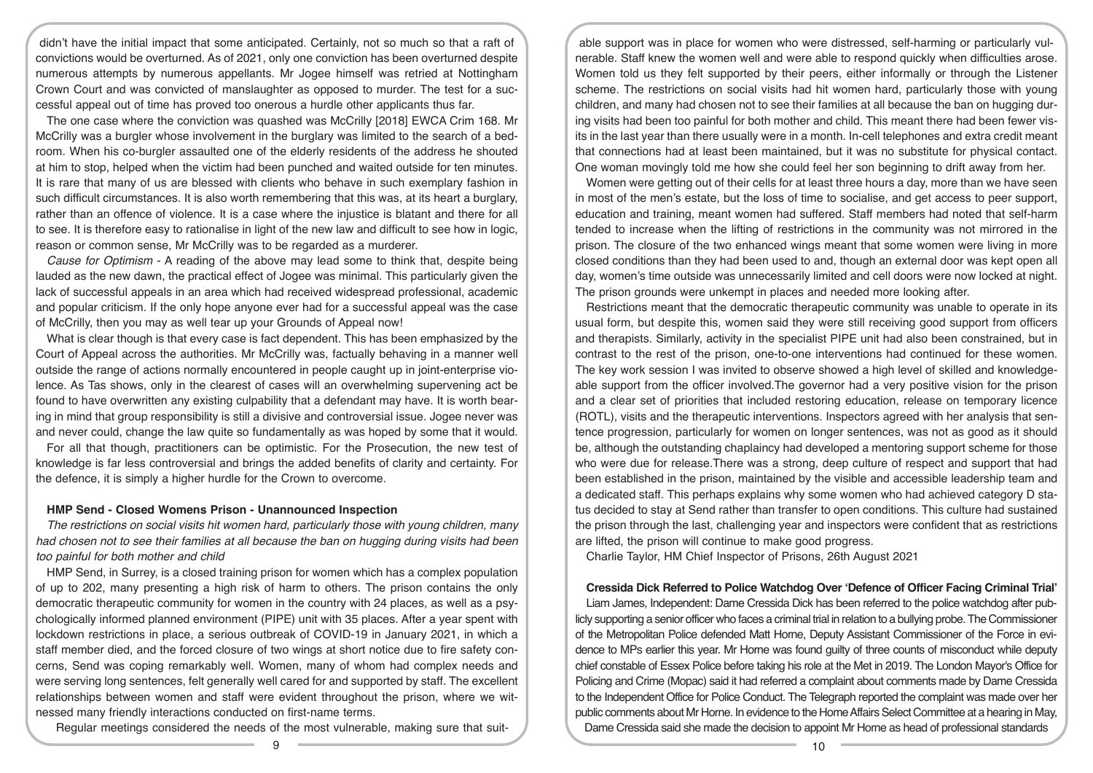didn't have the initial impact that some anticipated. Certainly, not so much so that a raft of convictions would be overturned. As of 2021, only one conviction has been overturned despite numerous attempts by numerous appellants. Mr Jogee himself was retried at Nottingham Crown Court and was convicted of manslaughter as opposed to murder. The test for a successful appeal out of time has proved too onerous a hurdle other applicants thus far.

The one case where the conviction was quashed was McCrilly [2018] EWCA Crim 168. Mr McCrilly was a burgler whose involvement in the burglary was limited to the search of a bedroom. When his co-burgler assaulted one of the elderly residents of the address he shouted at him to stop, helped when the victim had been punched and waited outside for ten minutes. It is rare that many of us are blessed with clients who behave in such exemplary fashion in such difficult circumstances. It is also worth remembering that this was, at its heart a burglary, rather than an offence of violence. It is a case where the injustice is blatant and there for all to see. It is therefore easy to rationalise in light of the new law and difficult to see how in logic, reason or common sense, Mr McCrilly was to be regarded as a murderer.

*Cause for Optimism* - A reading of the above may lead some to think that, despite being lauded as the new dawn, the practical effect of Jogee was minimal. This particularly given the lack of successful appeals in an area which had received widespread professional, academic and popular criticism. If the only hope anyone ever had for a successful appeal was the case of McCrilly, then you may as well tear up your Grounds of Appeal now!

What is clear though is that every case is fact dependent. This has been emphasized by the Court of Appeal across the authorities. Mr McCrilly was, factually behaving in a manner well outside the range of actions normally encountered in people caught up in joint-enterprise violence. As Tas shows, only in the clearest of cases will an overwhelming supervening act be found to have overwritten any existing culpability that a defendant may have. It is worth bearing in mind that group responsibility is still a divisive and controversial issue. Jogee never was and never could, change the law quite so fundamentally as was hoped by some that it would.

For all that though, practitioners can be optimistic. For the Prosecution, the new test of knowledge is far less controversial and brings the added benefits of clarity and certainty. For the defence, it is simply a higher hurdle for the Crown to overcome.

#### **HMP Send - Closed Womens Prison - Unannounced Inspection**

*The restrictions on social visits hit women hard, particularly those with young children, many had chosen not to see their families at all because the ban on hugging during visits had been too painful for both mother and child* 

HMP Send, in Surrey, is a closed training prison for women which has a complex population of up to 202, many presenting a high risk of harm to others. The prison contains the only democratic therapeutic community for women in the country with 24 places, as well as a psychologically informed planned environment (PIPE) unit with 35 places. After a year spent with lockdown restrictions in place, a serious outbreak of COVID-19 in January 2021, in which a staff member died, and the forced closure of two wings at short notice due to fire safety concerns, Send was coping remarkably well. Women, many of whom had complex needs and were serving long sentences, felt generally well cared for and supported by staff. The excellent relationships between women and staff were evident throughout the prison, where we witnessed many friendly interactions conducted on first-name terms.

Regular meetings considered the needs of the most vulnerable, making sure that suit-

able support was in place for women who were distressed, self-harming or particularly vulnerable. Staff knew the women well and were able to respond quickly when difficulties arose. Women told us they felt supported by their peers, either informally or through the Listener scheme. The restrictions on social visits had hit women hard, particularly those with young children, and many had chosen not to see their families at all because the ban on hugging during visits had been too painful for both mother and child. This meant there had been fewer visits in the last year than there usually were in a month. In-cell telephones and extra credit meant that connections had at least been maintained, but it was no substitute for physical contact. One woman movingly told me how she could feel her son beginning to drift away from her.

Women were getting out of their cells for at least three hours a day, more than we have seen in most of the men's estate, but the loss of time to socialise, and get access to peer support, education and training, meant women had suffered. Staff members had noted that self-harm tended to increase when the lifting of restrictions in the community was not mirrored in the prison. The closure of the two enhanced wings meant that some women were living in more closed conditions than they had been used to and, though an external door was kept open all day, women's time outside was unnecessarily limited and cell doors were now locked at night. The prison grounds were unkempt in places and needed more looking after.

Restrictions meant that the democratic therapeutic community was unable to operate in its usual form, but despite this, women said they were still receiving good support from officers and therapists. Similarly, activity in the specialist PIPE unit had also been constrained, but in contrast to the rest of the prison, one-to-one interventions had continued for these women. The key work session I was invited to observe showed a high level of skilled and knowledgeable support from the officer involved.The governor had a very positive vision for the prison and a clear set of priorities that included restoring education, release on temporary licence (ROTL), visits and the therapeutic interventions. Inspectors agreed with her analysis that sentence progression, particularly for women on longer sentences, was not as good as it should be, although the outstanding chaplaincy had developed a mentoring support scheme for those who were due for release.There was a strong, deep culture of respect and support that had been established in the prison, maintained by the visible and accessible leadership team and a dedicated staff. This perhaps explains why some women who had achieved category D status decided to stay at Send rather than transfer to open conditions. This culture had sustained the prison through the last, challenging year and inspectors were confident that as restrictions are lifted, the prison will continue to make good progress.

Charlie Taylor, HM Chief Inspector of Prisons, 26th August 2021

**Cressida Dick Referred to Police Watchdog Over 'Defence of Officer Facing Criminal Trial'** Liam James, Independent: Dame Cressida Dick has been referred to the police watchdog after publicly supporting a senior officer who faces a criminal trial in relation to a bullying probe. The Commissioner of the Metropolitan Police defended Matt Horne, Deputy Assistant Commissioner of the Force in evidence to MPs earlier this year. Mr Horne was found guilty of three counts of misconduct while deputy chief constable of Essex Police before taking his role at the Met in 2019. The London Mayor's Office for Policing and Crime (Mopac) said it had referred a complaint about comments made by Dame Cressida to the Independent Office for Police Conduct. The Telegraph reported the complaint was made over her public comments about Mr Horne. In evidence to the Home Affairs Select Committee at a hearing in May, Dame Cressida said she made the decision to appoint Mr Horne as head of professional standards